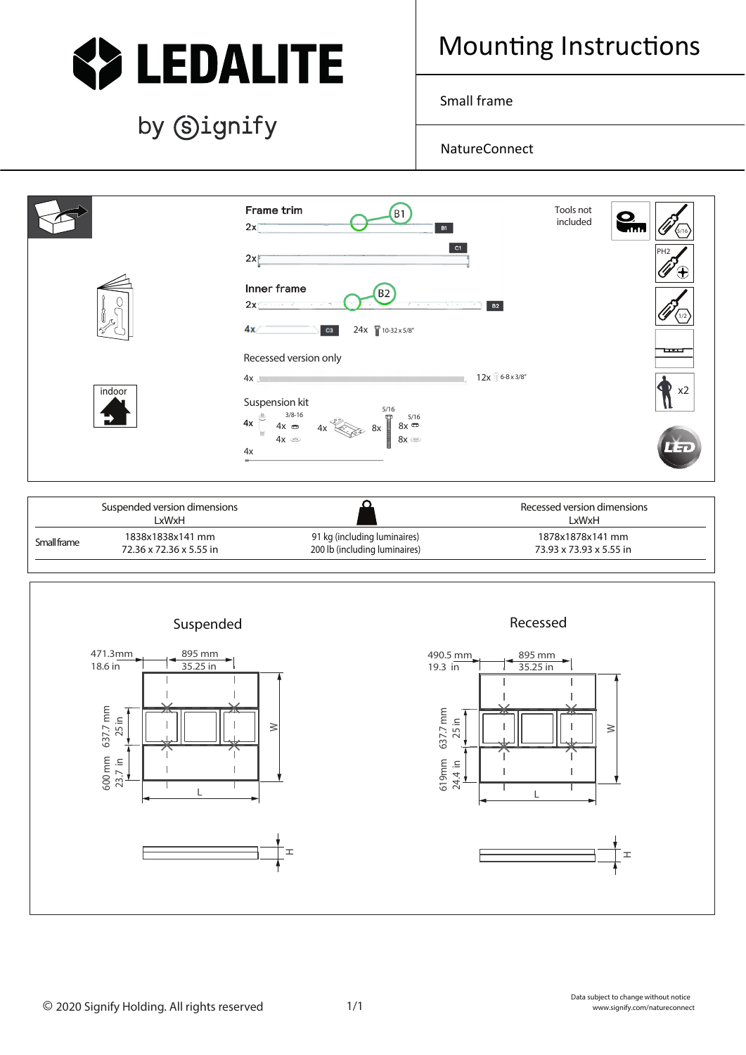

## by Signify

## Mounting Instructions

Small frame

NatureConnect



| Suspended version dimensions |                         |                               | Recessed version dimensions |
|------------------------------|-------------------------|-------------------------------|-----------------------------|
|                              | LxWxH                   |                               | LxWxH                       |
| Small frame                  | 1838x1838x141 mm        | 91 kg (including luminaires)  | 1878x1878x141 mm            |
|                              | 72.36 x 72.36 x 5.55 in | 200 lb (including luminaires) | 73.93 x 73.93 x 5.55 in     |
|                              |                         |                               |                             |